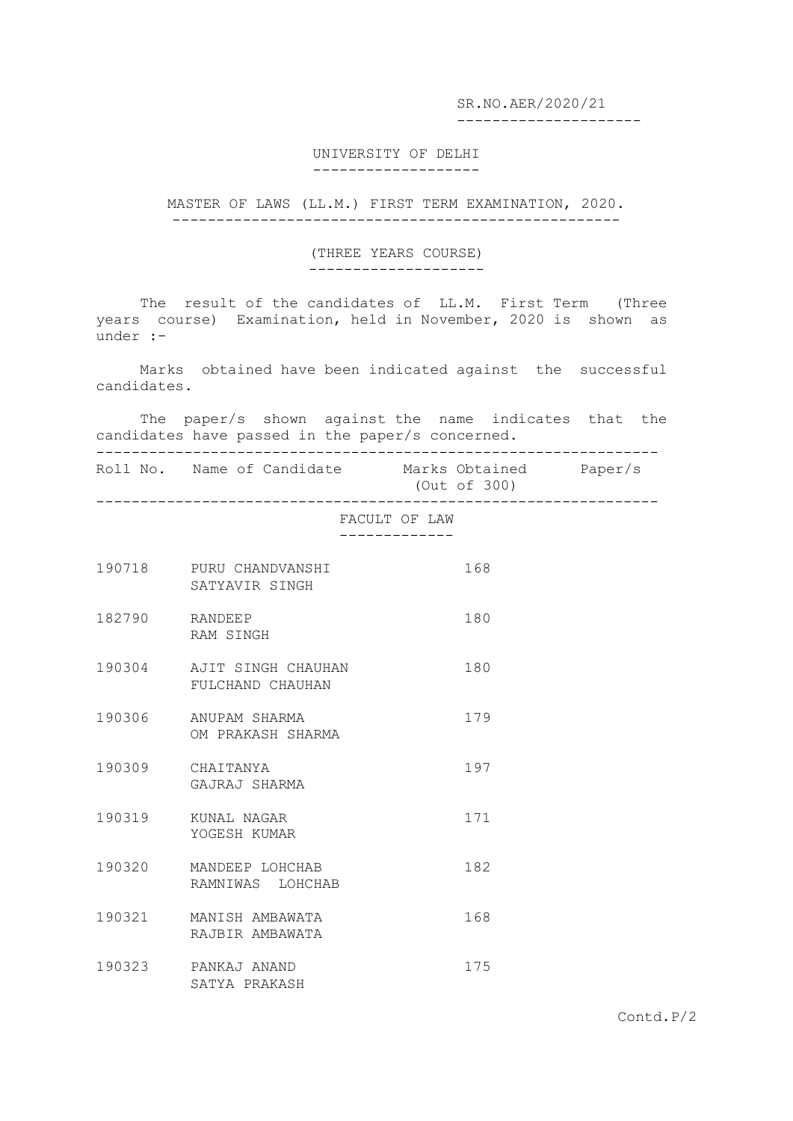SR.NO.AER/2020/21

---------------------

## UNIVERSITY OF DELHI -------------------

MASTER OF LAWS (LL.M.) FIRST TERM EXAMINATION, 2020. ---------------------------------------------------

## (THREE YEARS COURSE)

--------------------

The result of the candidates of LL.M. First Term (Three years course) Examination, held in November, 2020 is shown as under :-

 Marks obtained have been indicated against the successful candidates.

 The paper/s shown against the name indicates that the candidates have passed in the paper/s concerned. ----------------------------------------------------------------

Roll No. Name of Candidate Marks Obtained Paper/s (Out of 300)

----------------------------------------------------------------

FACULT OF LAW -------------

| 190718 | PURU CHANDVANSHI<br>SATYAVIR SINGH     | 168 |
|--------|----------------------------------------|-----|
| 182790 | RANDEEP<br>RAM SINGH                   | 180 |
| 190304 | AJIT SINGH CHAUHAN<br>FULCHAND CHAUHAN | 180 |
| 190306 | ANUPAM SHARMA<br>OM PRAKASH SHARMA     | 179 |
| 190309 | CHATTANYA<br>GAJRAJ SHARMA             | 197 |
| 190319 | KUNAL NAGAR<br>YOGESH KUMAR            | 171 |
| 190320 | MANDEEP LOHCHAB<br>RAMNIWAS LOHCHAB    | 182 |
| 190321 | MANISH AMBAWATA<br>RAJBIR AMBAWATA     | 168 |
| 190323 | PANKAJ ANAND<br>SATYA PRAKASH          | 175 |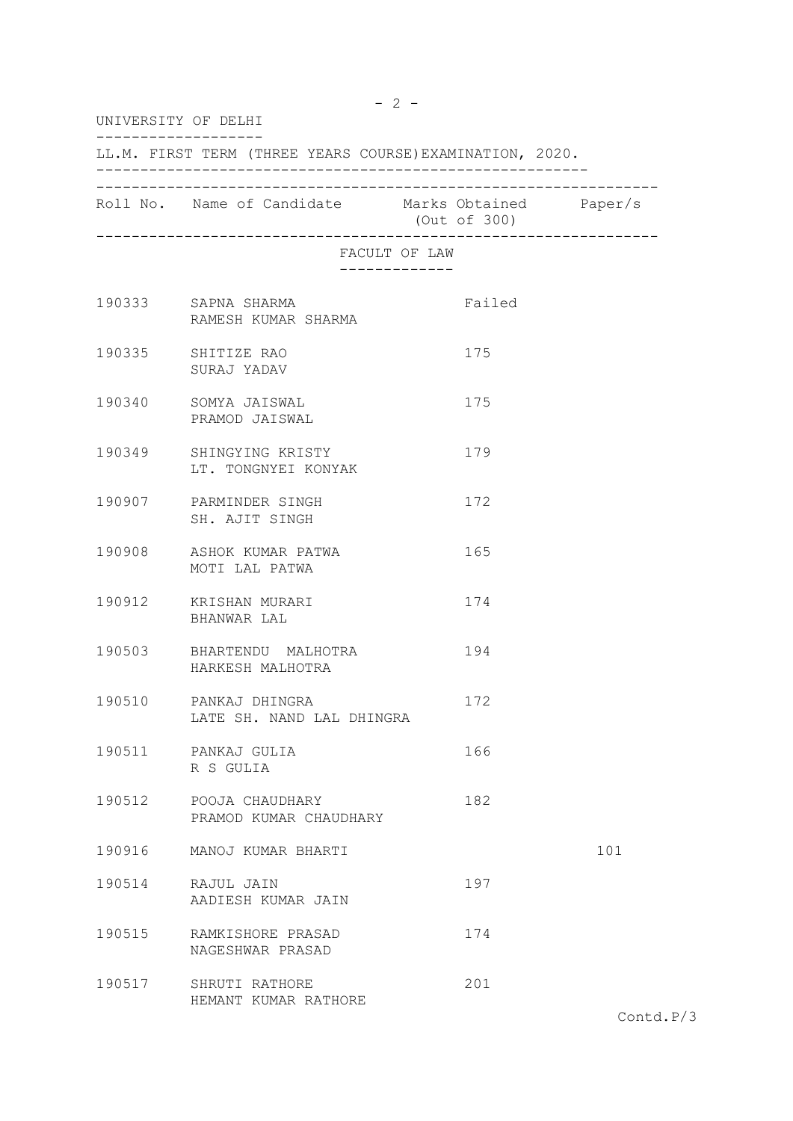| UNIVERSITY OF DELHI                                      |                                                    |               |     |  |  |  |
|----------------------------------------------------------|----------------------------------------------------|---------------|-----|--|--|--|
| LL.M. FIRST TERM (THREE YEARS COURSE) EXAMINATION, 2020. |                                                    |               |     |  |  |  |
|                                                          | Roll No. Name of Candidate Marks Obtained Paper/s  | (Out of 300)  |     |  |  |  |
|                                                          |                                                    | FACULT OF LAW |     |  |  |  |
|                                                          | 190333 SAPNA SHARMA<br>RAMESH KUMAR SHARMA         | Failed        |     |  |  |  |
|                                                          | 190335 SHITIZE RAO<br>SURAJ YADAV                  | 175           |     |  |  |  |
|                                                          | 190340 SOMYA JAISWAL<br>PRAMOD JAISWAL             | 175           |     |  |  |  |
|                                                          | 190349 SHINGYING KRISTY<br>LT. TONGNYEI KONYAK     | 179           |     |  |  |  |
|                                                          | 190907 PARMINDER SINGH<br>SH. AJIT SINGH           | 172           |     |  |  |  |
|                                                          | 190908 ASHOK KUMAR PATWA<br>MOTI LAL PATWA         | 165           |     |  |  |  |
|                                                          | 190912 KRISHAN MURARI<br>BHANWAR LAL               | 174           |     |  |  |  |
|                                                          | 190503 BHARTENDU MALHOTRA<br>HARKESH MALHOTRA      | 194           |     |  |  |  |
|                                                          | 190510 PANKAJ DHINGRA<br>LATE SH. NAND LAL DHINGRA | 172           |     |  |  |  |
|                                                          | 190511 PANKAJ GULIA<br>R S GULIA                   | 166           |     |  |  |  |
|                                                          | 190512 POOJA CHAUDHARY<br>PRAMOD KUMAR CHAUDHARY   | 182           |     |  |  |  |
| 190916                                                   | MANOJ KUMAR BHARTI                                 |               | 101 |  |  |  |
| 190514                                                   | RAJUL JAIN<br>AADIESH KUMAR JAIN                   | 197           |     |  |  |  |
| 190515                                                   | RAMKISHORE PRASAD<br>NAGESHWAR PRASAD              | 174           |     |  |  |  |
| 190517                                                   | SHRUTI RATHORE<br>HEMANT KUMAR RATHORE             | 201           |     |  |  |  |